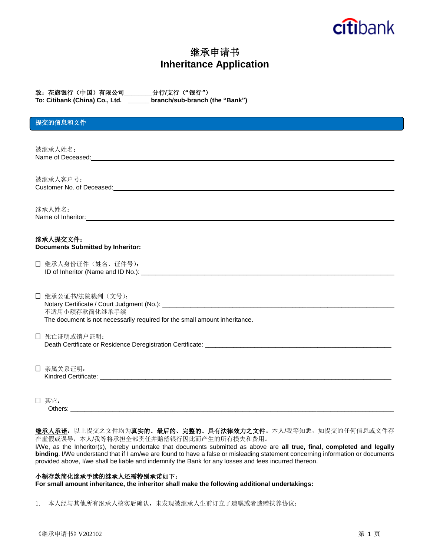# citibank

# 继承申请书 **Inheritance Application**

| 致:花旗银行(中国)有限公司」              |  | _分行/支行("银行")                |
|------------------------------|--|-----------------------------|
| Ta: Citibank (China) Call td |  | bronchleub-bronch (the "Ron |

**To: Citibank (China) Co., Ltd. \_\_\_\_\_\_ branch/sub-branch (the "Bank")**

### 提交的信息和文件

被继承人姓名: Name of Deceased: We have a state of the state of the state of the state of the state of the state of the state of the state of the state of the state of the state of the state of the state of the state of the state of the

被继承人客户号: Customer No. of Deceased:

继承人姓名: Name of Inheritor: **Name of Inheritor: Name of Inheritor: Name of Inheritor: Name of Inheritor: Name of Index Index Index Index Index Index Index Index Index Index Index Index Index Index Index Index Index Index In** 

#### 继承人提交文件: **Documents Submitted by Inheritor:**

| □ 继承人身份证件(姓名、证件号):                 |  |
|------------------------------------|--|
| ID of Inheritor (Name and ID No.): |  |

 继承公证书/法院裁判(文号): Notary Certificate / Court Judgment (No.): \_\_\_\_\_\_\_\_\_\_\_\_\_\_\_\_\_\_\_\_\_\_\_\_\_\_\_\_\_\_\_\_\_\_\_\_\_\_\_\_\_\_\_\_\_\_\_\_\_\_\_\_\_\_\_\_\_\_\_\_\_\_\_\_\_\_ 不适用小额存款简化继承手续 The document is not necessarily required for the small amount inheritance.

 死亡证明或销户证明: Death Certificate or Residence Deregistration Certificate: \_\_\_\_\_\_\_\_\_\_\_\_\_\_\_\_\_\_\_\_\_

 亲属关系证明: Kindred Certificate: **Example 20** and  $\overline{a}$  and  $\overline{b}$  and  $\overline{c}$  and  $\overline{d}$  and  $\overline{c}$  and  $\overline{c}$  and  $\overline{c}$  and  $\overline{c}$  and  $\overline{c}$  and  $\overline{c}$  and  $\overline{c}$  and  $\overline{c}$  and  $\overline{c}$  and  $\overline{c}$  and  $\$ 

 其它: Others:

然承人承诺:以上提交之文件均为真实的、最后的、完整的、具有法律效力之文件。本人/我等知悉,如提交的任何信息或文件存 在虚假或误导,本人/我等将承担全部责任并赔偿银行因此而产生的所有损失和费用。

I/We, as the Inheritor(s), hereby undertake that documents submitted as above are **all true, final, completed and legally binding**. I/We understand that if I am/we are found to have a false or misleading statement concerning information or documents provided above, I/we shall be liable and indemnify the Bank for any losses and fees incurred thereon.

#### 小额存款简化继承手续的继承人还需特别承诺如下:

**For small amount inheritance, the inheritor shall make the following additional undertakings:**

1. 本人经与其他所有继承人核实后确认,未发现被继承人生前订立了遗嘱或者遗赠扶养协议;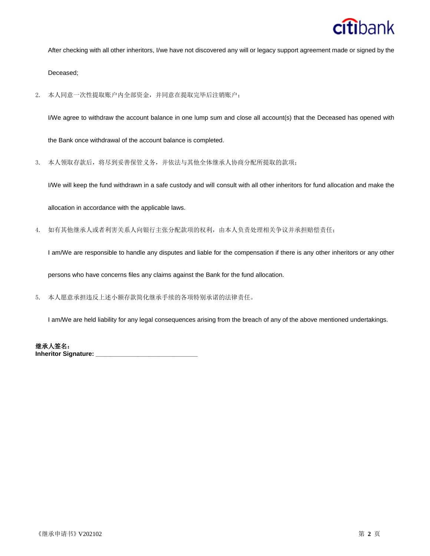

After checking with all other inheritors, I/we have not discovered any will or legacy support agreement made or signed by the

Deceased;

2. 本人同意一次性提取账户内全部资金,并同意在提取完毕后注销账户;

I/We agree to withdraw the account balance in one lump sum and close all account(s) that the Deceased has opened with

the Bank once withdrawal of the account balance is completed.

3. 本人领取存款后,将尽到妥善保管义务,并依法与其他全体继承人协商分配所提取的款项;

I/We will keep the fund withdrawn in a safe custody and will consult with all other inheritors for fund allocation and make the

allocation in accordance with the applicable laws.

4. 如有其他继承人或者利害关系人向银行主张分配款项的权利,由本人负责处理相关争议并承担赔偿责任;

I am/We are responsible to handle any disputes and liable for the compensation if there is any other inheritors or any other persons who have concerns files any claims against the Bank for the fund allocation.

5. 本人愿意承担违反上述小额存款简化继承手续的各项特别承诺的法律责任。

I am/We are held liability for any legal consequences arising from the breach of any of the above mentioned undertakings.

继承人签名: **Inheritor Signature: \_\_\_\_\_\_\_\_\_\_\_\_\_\_\_\_\_\_\_\_\_\_\_\_\_\_\_\_\_**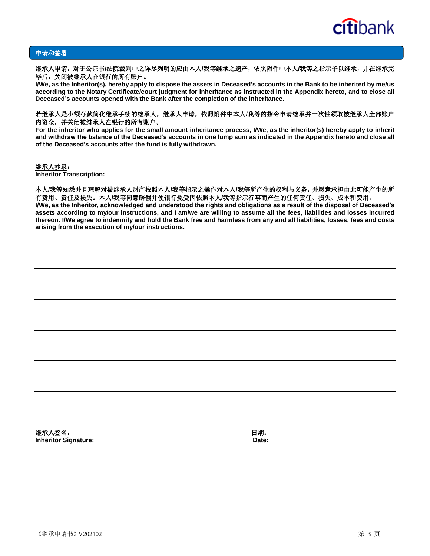

#### 申请和签署

继承人申请,对于公证书**/**法院裁判中之详尽列明的应由本人**/**我等继承之遗产,依照附件中本人**/**我等之指示予以继承,并在继承完 毕后,关闭被继承人在银行的所有账户。

**I/We, as the Inheritor(s), hereby apply to dispose the assets in Deceased's accounts in the Bank to be inherited by me/us according to the Notary Certificate/court judgment for inheritance as instructed in the Appendix hereto, and to close all Deceased's accounts opened with the Bank after the completion of the inheritance.**

#### 若继承人是小额存款简化继承手续的继承人,继承人申请,依照附件中本人**/**我等的指令申请继承并一次性领取被继承人全部账户 内资金,并关闭被继承人在银行的所有账户。

**For the inheritor who applies for the small amount inheritance process, I/We, as the inheritor(s) hereby apply to inherit and withdraw the balance of the Deceased's accounts in one lump sum as indicated in the Appendix hereto and close all of the Deceased's accounts after the fund is fully withdrawn.**

#### 继承人抄录:

**Inheritor Transcription:** 

#### 本人**/**我等知悉并且理解对被继承人财产按照本人**/**我等指示之操作对本人**/**我等所产生的权利与义务,并愿意承担由此可能产生的所 有费用、责任及损失。本人**/**我等同意赔偿并使银行免受因依照本人**/**我等指示行事而产生的任何责任、损失、成本和费用。

**I/We, as the Inheritor, acknowledged and understood the rights and obligations as a result of the disposal of Deceased's assets according to my/our instructions, and I am/we are willing to assume all the fees, liabilities and losses incurred thereon. I/We agree to indemnify and hold the Bank free and harmless from any and all liabilities, losses, fees and costs arising from the execution of my/our instructions.**

继承人签名:日期: **Inheritor Signature: \_\_\_\_\_\_\_\_\_\_\_\_\_\_\_\_\_\_\_\_\_\_\_ Date: \_\_\_\_\_\_\_\_\_\_\_\_\_\_\_\_\_\_\_\_\_\_\_\_**